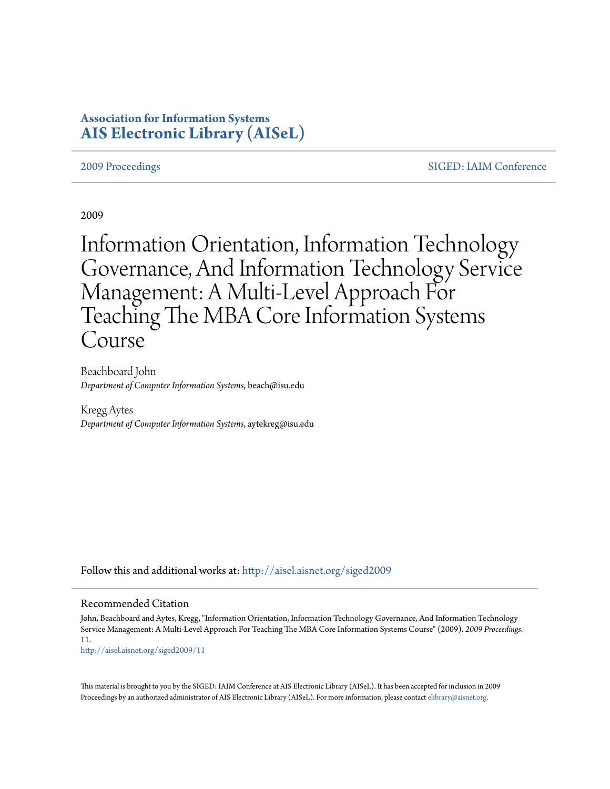# **Association for Information Systems [AIS Electronic Library \(AISeL\)](http://aisel.aisnet.org?utm_source=aisel.aisnet.org%2Fsiged2009%2F11&utm_medium=PDF&utm_campaign=PDFCoverPages)**

[2009 Proceedings](http://aisel.aisnet.org/siged2009?utm_source=aisel.aisnet.org%2Fsiged2009%2F11&utm_medium=PDF&utm_campaign=PDFCoverPages) [SIGED: IAIM Conference](http://aisel.aisnet.org/siged?utm_source=aisel.aisnet.org%2Fsiged2009%2F11&utm_medium=PDF&utm_campaign=PDFCoverPages)

2009

Information Orientation, Information Technology Governance, And Information Technology Service Management: A Multi-Level Approach For Teaching The MBA Core Information Systems Course

Beachboard John *Department of Computer Information Systems*, beach@isu.edu

Kregg Aytes *Department of Computer Information Systems*, aytekreg@isu.edu

Follow this and additional works at: [http://aisel.aisnet.org/siged2009](http://aisel.aisnet.org/siged2009?utm_source=aisel.aisnet.org%2Fsiged2009%2F11&utm_medium=PDF&utm_campaign=PDFCoverPages)

### Recommended Citation

John, Beachboard and Aytes, Kregg, "Information Orientation, Information Technology Governance, And Information Technology Service Management: A Multi-Level Approach For Teaching The MBA Core Information Systems Course" (2009). *2009 Proceedings*. 11.

[http://aisel.aisnet.org/siged2009/11](http://aisel.aisnet.org/siged2009/11?utm_source=aisel.aisnet.org%2Fsiged2009%2F11&utm_medium=PDF&utm_campaign=PDFCoverPages)

This material is brought to you by the SIGED: IAIM Conference at AIS Electronic Library (AISeL). It has been accepted for inclusion in 2009 Proceedings by an authorized administrator of AIS Electronic Library (AISeL). For more information, please contact [elibrary@aisnet.org](mailto:elibrary@aisnet.org%3E).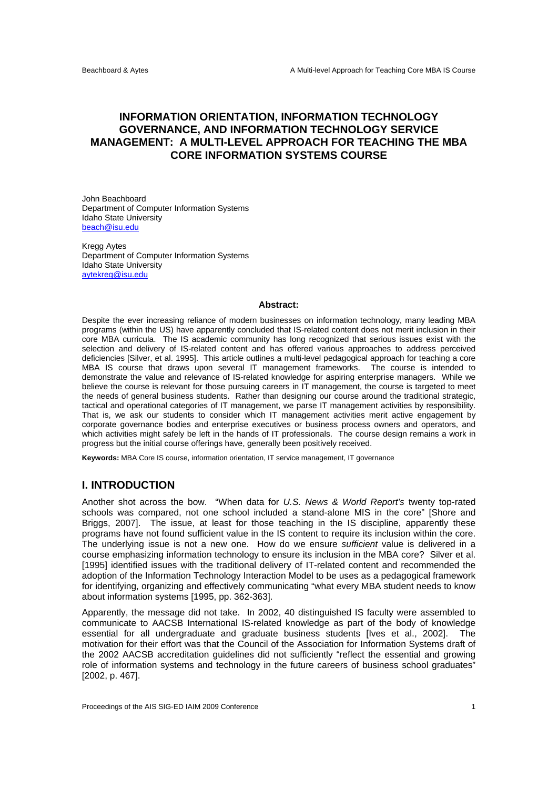## **INFORMATION ORIENTATION, INFORMATION TECHNOLOGY GOVERNANCE, AND INFORMATION TECHNOLOGY SERVICE MANAGEMENT: A MULTI-LEVEL APPROACH FOR TEACHING THE MBA CORE INFORMATION SYSTEMS COURSE**

John Beachboard Department of Computer Information Systems Idaho State University beach@isu.edu

Kregg Aytes Department of Computer Information Systems Idaho State University aytekreg@isu.edu

#### **Abstract:**

Despite the ever increasing reliance of modern businesses on information technology, many leading MBA programs (within the US) have apparently concluded that IS-related content does not merit inclusion in their core MBA curricula. The IS academic community has long recognized that serious issues exist with the selection and delivery of IS-related content and has offered various approaches to address perceived deficiencies [Silver, et al. 1995]. This article outlines a multi-level pedagogical approach for teaching a core MBA IS course that draws upon several IT management frameworks. The course is intended to demonstrate the value and relevance of IS-related knowledge for aspiring enterprise managers. While we believe the course is relevant for those pursuing careers in IT management, the course is targeted to meet the needs of general business students. Rather than designing our course around the traditional strategic, tactical and operational categories of IT management, we parse IT management activities by responsibility. That is, we ask our students to consider which IT management activities merit active engagement by corporate governance bodies and enterprise executives or business process owners and operators, and which activities might safely be left in the hands of IT professionals. The course design remains a work in progress but the initial course offerings have, generally been positively received.

**Keywords:** MBA Core IS course, information orientation, IT service management, IT governance

## **I. INTRODUCTION**

Another shot across the bow. "When data for *U.S. News & World Report's* twenty top-rated schools was compared, not one school included a stand-alone MIS in the core" [Shore and Briggs, 2007]. The issue, at least for those teaching in the IS discipline, apparently these programs have not found sufficient value in the IS content to require its inclusion within the core. The underlying issue is not a new one. How do we ensure *sufficient* value is delivered in a course emphasizing information technology to ensure its inclusion in the MBA core? Silver et al. [1995] identified issues with the traditional delivery of IT-related content and recommended the adoption of the Information Technology Interaction Model to be uses as a pedagogical framework for identifying, organizing and effectively communicating "what every MBA student needs to know about information systems [1995, pp. 362-363].

Apparently, the message did not take. In 2002, 40 distinguished IS faculty were assembled to communicate to AACSB International IS-related knowledge as part of the body of knowledge essential for all undergraduate and graduate business students [Ives et al., 2002]. The motivation for their effort was that the Council of the Association for Information Systems draft of the 2002 AACSB accreditation guidelines did not sufficiently "reflect the essential and growing role of information systems and technology in the future careers of business school graduates" [2002, p. 467].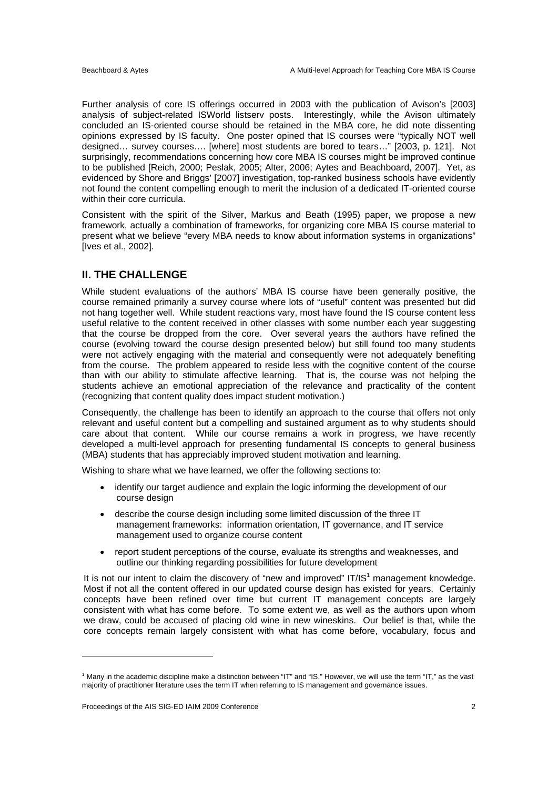Further analysis of core IS offerings occurred in 2003 with the publication of Avison's [2003] analysis of subject-related ISWorld listserv posts. Interestingly, while the Avison ultimately concluded an IS-oriented course should be retained in the MBA core, he did note dissenting opinions expressed by IS faculty. One poster opined that IS courses were "typically NOT well designed… survey courses…. [where] most students are bored to tears…" [2003, p. 121]. Not surprisingly, recommendations concerning how core MBA IS courses might be improved continue to be published [Reich, 2000; Peslak, 2005; Alter, 2006; Aytes and Beachboard, 2007]. Yet, as evidenced by Shore and Briggs' [2007] investigation, top-ranked business schools have evidently not found the content compelling enough to merit the inclusion of a dedicated IT-oriented course within their core curricula.

Consistent with the spirit of the Silver, Markus and Beath (1995) paper, we propose a new framework, actually a combination of frameworks, for organizing core MBA IS course material to present what we believe "every MBA needs to know about information systems in organizations" [Ives et al., 2002].

## **II. THE CHALLENGE**

While student evaluations of the authors' MBA IS course have been generally positive, the course remained primarily a survey course where lots of "useful" content was presented but did not hang together well. While student reactions vary, most have found the IS course content less useful relative to the content received in other classes with some number each year suggesting that the course be dropped from the core. Over several years the authors have refined the course (evolving toward the course design presented below) but still found too many students were not actively engaging with the material and consequently were not adequately benefiting from the course. The problem appeared to reside less with the cognitive content of the course than with our ability to stimulate affective learning. That is, the course was not helping the students achieve an emotional appreciation of the relevance and practicality of the content (recognizing that content quality does impact student motivation.)

Consequently, the challenge has been to identify an approach to the course that offers not only relevant and useful content but a compelling and sustained argument as to why students should care about that content. While our course remains a work in progress, we have recently developed a multi-level approach for presenting fundamental IS concepts to general business (MBA) students that has appreciably improved student motivation and learning.

Wishing to share what we have learned, we offer the following sections to:

- identify our target audience and explain the logic informing the development of our course design
- describe the course design including some limited discussion of the three IT management frameworks: information orientation, IT governance, and IT service management used to organize course content
- report student perceptions of the course, evaluate its strengths and weaknesses, and outline our thinking regarding possibilities for future development

It is not our intent to claim the discovery of "new and improved" IT/IS $<sup>1</sup>$  management knowledge.</sup> Most if not all the content offered in our updated course design has existed for years. Certainly concepts have been refined over time but current IT management concepts are largely consistent with what has come before. To some extent we, as well as the authors upon whom we draw, could be accused of placing old wine in new wineskins. Our belief is that, while the core concepts remain largely consistent with what has come before, vocabulary, focus and

 $\overline{a}$ 

<sup>&</sup>lt;sup>1</sup> Many in the academic discipline make a distinction between "IT" and "IS." However, we will use the term "IT," as the vast majority of practitioner literature uses the term IT when referring to IS management and governance issues.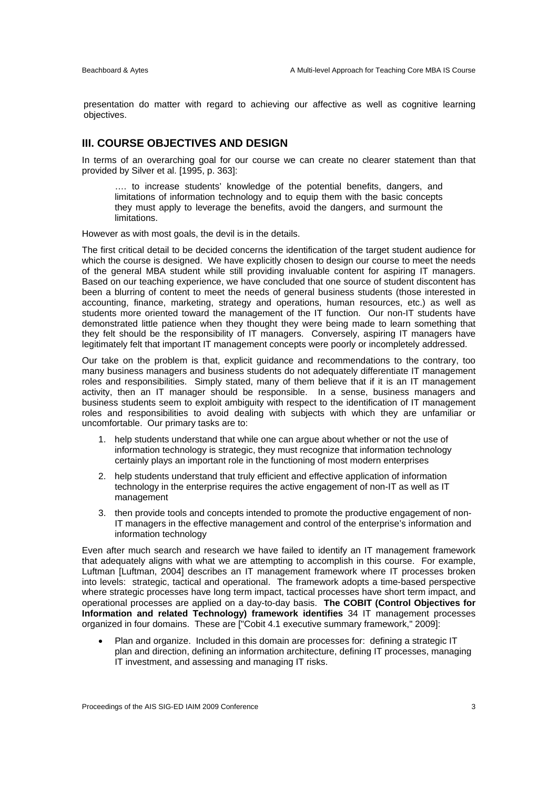presentation do matter with regard to achieving our affective as well as cognitive learning objectives.

## **III. COURSE OBJECTIVES AND DESIGN**

In terms of an overarching goal for our course we can create no clearer statement than that provided by Silver et al. [1995, p. 363]:

…. to increase students' knowledge of the potential benefits, dangers, and limitations of information technology and to equip them with the basic concepts they must apply to leverage the benefits, avoid the dangers, and surmount the limitations.

However as with most goals, the devil is in the details.

The first critical detail to be decided concerns the identification of the target student audience for which the course is designed. We have explicitly chosen to design our course to meet the needs of the general MBA student while still providing invaluable content for aspiring IT managers. Based on our teaching experience, we have concluded that one source of student discontent has been a blurring of content to meet the needs of general business students (those interested in accounting, finance, marketing, strategy and operations, human resources, etc.) as well as students more oriented toward the management of the IT function. Our non-IT students have demonstrated little patience when they thought they were being made to learn something that they felt should be the responsibility of IT managers. Conversely, aspiring IT managers have legitimately felt that important IT management concepts were poorly or incompletely addressed.

Our take on the problem is that, explicit guidance and recommendations to the contrary, too many business managers and business students do not adequately differentiate IT management roles and responsibilities. Simply stated, many of them believe that if it is an IT management activity, then an IT manager should be responsible. In a sense, business managers and business students seem to exploit ambiguity with respect to the identification of IT management roles and responsibilities to avoid dealing with subjects with which they are unfamiliar or uncomfortable. Our primary tasks are to:

- 1. help students understand that while one can argue about whether or not the use of information technology is strategic, they must recognize that information technology certainly plays an important role in the functioning of most modern enterprises
- 2. help students understand that truly efficient and effective application of information technology in the enterprise requires the active engagement of non-IT as well as IT management
- 3. then provide tools and concepts intended to promote the productive engagement of non-IT managers in the effective management and control of the enterprise's information and information technology

Even after much search and research we have failed to identify an IT management framework that adequately aligns with what we are attempting to accomplish in this course. For example, Luftman [Luftman, 2004] describes an IT management framework where IT processes broken into levels: strategic, tactical and operational. The framework adopts a time-based perspective where strategic processes have long term impact, tactical processes have short term impact, and operational processes are applied on a day-to-day basis. **The COBIT (Control Objectives for Information and related Technology) framework identifies** 34 IT management processes organized in four domains. These are ["Cobit 4.1 executive summary framework," 2009]:

 Plan and organize. Included in this domain are processes for: defining a strategic IT plan and direction, defining an information architecture, defining IT processes, managing IT investment, and assessing and managing IT risks.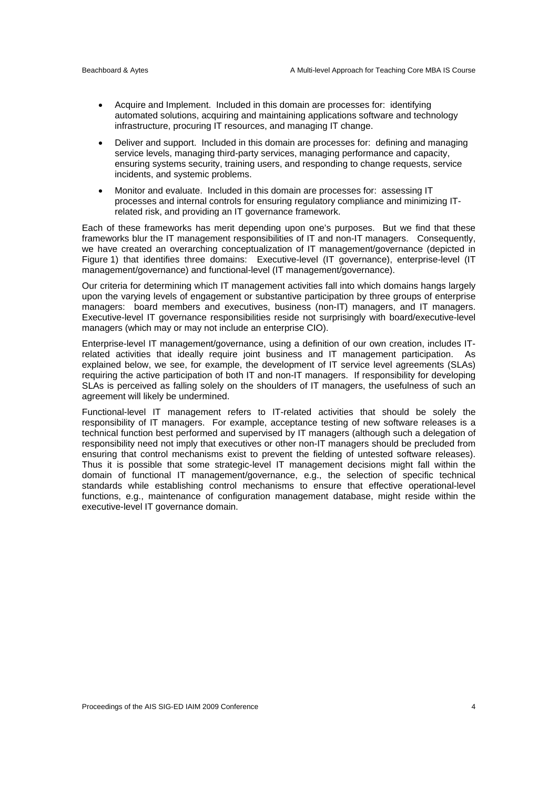- Acquire and Implement. Included in this domain are processes for: identifying automated solutions, acquiring and maintaining applications software and technology infrastructure, procuring IT resources, and managing IT change.
- Deliver and support. Included in this domain are processes for: defining and managing service levels, managing third-party services, managing performance and capacity, ensuring systems security, training users, and responding to change requests, service incidents, and systemic problems.
- Monitor and evaluate. Included in this domain are processes for: assessing IT processes and internal controls for ensuring regulatory compliance and minimizing ITrelated risk, and providing an IT governance framework.

Each of these frameworks has merit depending upon one's purposes. But we find that these frameworks blur the IT management responsibilities of IT and non-IT managers. Consequently, we have created an overarching conceptualization of IT management/governance (depicted in Figure 1) that identifies three domains: Executive-level (IT governance), enterprise-level (IT management/governance) and functional-level (IT management/governance).

Our criteria for determining which IT management activities fall into which domains hangs largely upon the varying levels of engagement or substantive participation by three groups of enterprise managers: board members and executives, business (non-IT) managers, and IT managers. Executive-level IT governance responsibilities reside not surprisingly with board/executive-level managers (which may or may not include an enterprise CIO).

Enterprise-level IT management/governance, using a definition of our own creation, includes ITrelated activities that ideally require joint business and IT management participation. As explained below, we see, for example, the development of IT service level agreements (SLAs) requiring the active participation of both IT and non-IT managers. If responsibility for developing SLAs is perceived as falling solely on the shoulders of IT managers, the usefulness of such an agreement will likely be undermined.

Functional-level IT management refers to IT-related activities that should be solely the responsibility of IT managers. For example, acceptance testing of new software releases is a technical function best performed and supervised by IT managers (although such a delegation of responsibility need not imply that executives or other non-IT managers should be precluded from ensuring that control mechanisms exist to prevent the fielding of untested software releases). Thus it is possible that some strategic-level IT management decisions might fall within the domain of functional IT management/governance, e.g., the selection of specific technical standards while establishing control mechanisms to ensure that effective operational-level functions, e.g., maintenance of configuration management database, might reside within the executive-level IT governance domain.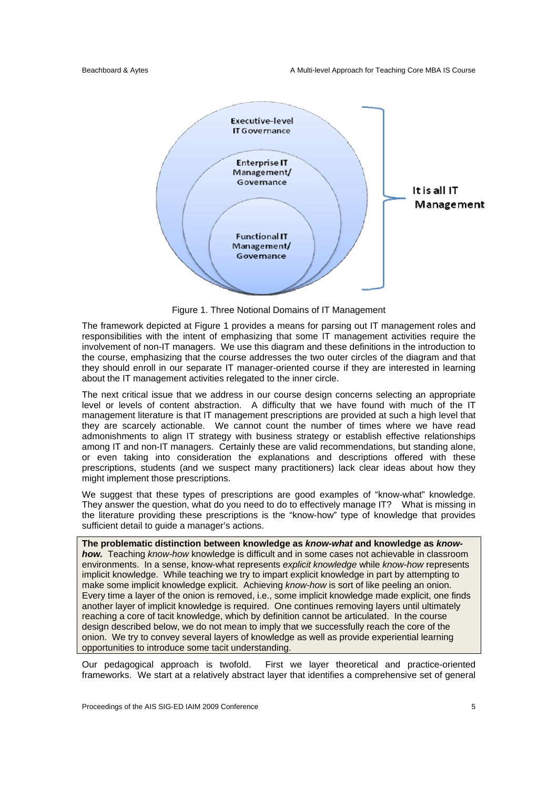

Figure 1. Three Notional Domains of IT Management

The framework depicted at Figure 1 provides a means for parsing out IT management roles and responsibilities with the intent of emphasizing that some IT management activities require the involvement of non-IT managers. We use this diagram and these definitions in the introduction to the course, emphasizing that the course addresses the two outer circles of the diagram and that they should enroll in our separate IT manager-oriented course if they are interested in learning about the IT management activities relegated to the inner circle.

The next critical issue that we address in our course design concerns selecting an appropriate level or levels of content abstraction. A difficulty that we have found with much of the IT management literature is that IT management prescriptions are provided at such a high level that they are scarcely actionable. We cannot count the number of times where we have read admonishments to align IT strategy with business strategy or establish effective relationships among IT and non-IT managers. Certainly these are valid recommendations, but standing alone, or even taking into consideration the explanations and descriptions offered with these prescriptions, students (and we suspect many practitioners) lack clear ideas about how they might implement those prescriptions.

We suggest that these types of prescriptions are good examples of "know-what" knowledge. They answer the question, what do you need to do to effectively manage IT? What is missing in the literature providing these prescriptions is the "know-how" type of knowledge that provides sufficient detail to guide a manager's actions.

**The problematic distinction between knowledge as** *know-what* **and knowledge as** *knowhow.*Teaching *know-how* knowledge is difficult and in some cases not achievable in classroom environments. In a sense, know-what represents *explicit knowledge* while *know-how* represents implicit knowledge. While teaching we try to impart explicit knowledge in part by attempting to make some implicit knowledge explicit. Achieving *know-how* is sort of like peeling an onion. Every time a layer of the onion is removed, i.e., some implicit knowledge made explicit, one finds another layer of implicit knowledge is required. One continues removing layers until ultimately reaching a core of tacit knowledge, which by definition cannot be articulated. In the course design described below, we do not mean to imply that we successfully reach the core of the onion. We try to convey several layers of knowledge as well as provide experiential learning opportunities to introduce some tacit understanding.

Our pedagogical approach is twofold. First we layer theoretical and practice-oriented frameworks. We start at a relatively abstract layer that identifies a comprehensive set of general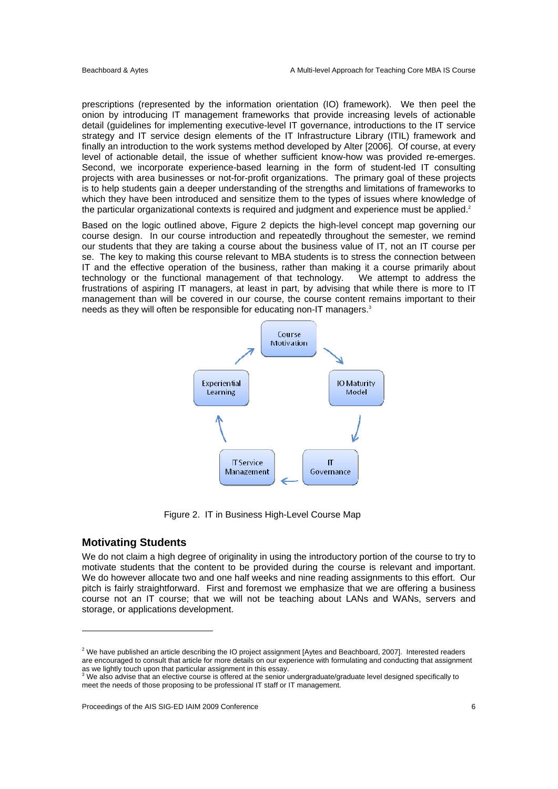prescriptions (represented by the information orientation (IO) framework). We then peel the onion by introducing IT management frameworks that provide increasing levels of actionable detail (guidelines for implementing executive-level IT governance, introductions to the IT service strategy and IT service design elements of the IT Infrastructure Library (ITIL) framework and finally an introduction to the work systems method developed by Alter [2006]. Of course, at every level of actionable detail, the issue of whether sufficient know-how was provided re-emerges. Second, we incorporate experience-based learning in the form of student-led IT consulting projects with area businesses or not-for-profit organizations. The primary goal of these projects is to help students gain a deeper understanding of the strengths and limitations of frameworks to which they have been introduced and sensitize them to the types of issues where knowledge of the particular organizational contexts is required and judgment and experience must be applied.<sup>2</sup>

Based on the logic outlined above, Figure 2 depicts the high-level concept map governing our course design. In our course introduction and repeatedly throughout the semester, we remind our students that they are taking a course about the business value of IT, not an IT course per se. The key to making this course relevant to MBA students is to stress the connection between IT and the effective operation of the business, rather than making it a course primarily about technology or the functional management of that technology. We attempt to address the frustrations of aspiring IT managers, at least in part, by advising that while there is more to IT management than will be covered in our course, the course content remains important to their needs as they will often be responsible for educating non-IT managers.<sup>3</sup>



Figure 2. IT in Business High-Level Course Map

#### **Motivating Students**

We do not claim a high degree of originality in using the introductory portion of the course to try to motivate students that the content to be provided during the course is relevant and important. We do however allocate two and one half weeks and nine reading assignments to this effort. Our pitch is fairly straightforward. First and foremost we emphasize that we are offering a business course not an IT course; that we will not be teaching about LANs and WANs, servers and storage, or applications development.

 $^2$  We have published an article describing the IO project assignment [Aytes and Beachboard, 2007]. Interested readers are encouraged to consult that article for more details on our experience with formulating and conducting that assignment as we lightly touch upon that particular assignment in this essay.<br><sup>3</sup> We also advise that an elective course is offered at the senior undergraduate/graduate level designed specifically to

meet the needs of those proposing to be professional IT staff or IT management.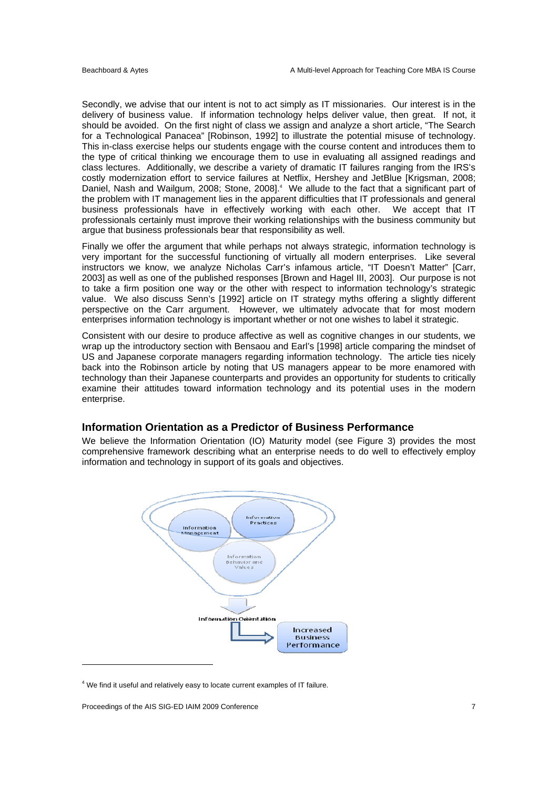Secondly, we advise that our intent is not to act simply as IT missionaries. Our interest is in the delivery of business value. If information technology helps deliver value, then great. If not, it should be avoided. On the first night of class we assign and analyze a short article, "The Search for a Technological Panacea" [Robinson, 1992] to illustrate the potential misuse of technology. This in-class exercise helps our students engage with the course content and introduces them to the type of critical thinking we encourage them to use in evaluating all assigned readings and class lectures. Additionally, we describe a variety of dramatic IT failures ranging from the IRS's costly modernization effort to service failures at Netflix, Hershey and JetBlue [Krigsman, 2008; Daniel, Nash and Wailgum, 2008; Stone, 2008].<sup>4</sup> We allude to the fact that a significant part of the problem with IT management lies in the apparent difficulties that IT professionals and general business professionals have in effectively working with each other. We accept that IT professionals certainly must improve their working relationships with the business community but argue that business professionals bear that responsibility as well.

Finally we offer the argument that while perhaps not always strategic, information technology is very important for the successful functioning of virtually all modern enterprises. Like several instructors we know, we analyze Nicholas Carr's infamous article, "IT Doesn't Matter" [Carr, 2003] as well as one of the published responses [Brown and Hagel III, 2003]. Our purpose is not to take a firm position one way or the other with respect to information technology's strategic value. We also discuss Senn's [1992] article on IT strategy myths offering a slightly different perspective on the Carr argument. However, we ultimately advocate that for most modern enterprises information technology is important whether or not one wishes to label it strategic.

Consistent with our desire to produce affective as well as cognitive changes in our students, we wrap up the introductory section with Bensaou and Earl's [1998] article comparing the mindset of US and Japanese corporate managers regarding information technology. The article ties nicely back into the Robinson article by noting that US managers appear to be more enamored with technology than their Japanese counterparts and provides an opportunity for students to critically examine their attitudes toward information technology and its potential uses in the modern enterprise.

## **Information Orientation as a Predictor of Business Performance**

We believe the Information Orientation (IO) Maturity model (see Figure 3) provides the most comprehensive framework describing what an enterprise needs to do well to effectively employ information and technology in support of its goals and objectives.



 $<sup>4</sup>$  We find it useful and relatively easy to locate current examples of IT failure.</sup>

Proceedings of the AIS SIG-ED IAIM 2009 Conference 7

l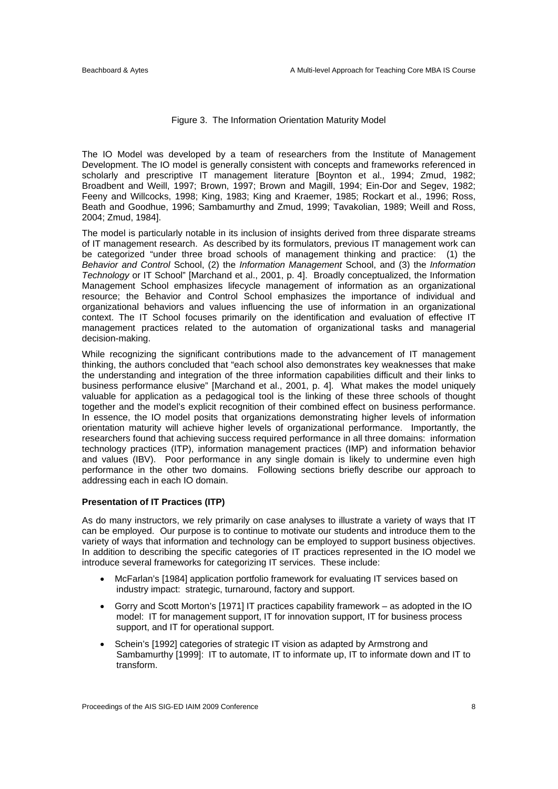#### Figure 3. The Information Orientation Maturity Model

The IO Model was developed by a team of researchers from the Institute of Management Development. The IO model is generally consistent with concepts and frameworks referenced in scholarly and prescriptive IT management literature [Boynton et al., 1994; Zmud, 1982; Broadbent and Weill, 1997; Brown, 1997; Brown and Magill, 1994; Ein-Dor and Segev, 1982; Feeny and Willcocks, 1998; King, 1983; King and Kraemer, 1985; Rockart et al., 1996; Ross, Beath and Goodhue, 1996; Sambamurthy and Zmud, 1999; Tavakolian, 1989; Weill and Ross, 2004; Zmud, 1984].

The model is particularly notable in its inclusion of insights derived from three disparate streams of IT management research. As described by its formulators, previous IT management work can be categorized "under three broad schools of management thinking and practice: (1) the *Behavior and Control* School, (2) the *Information Management* School, and (3) the *Information Technology* or IT School" [Marchand et al., 2001, p. 4]. Broadly conceptualized, the Information Management School emphasizes lifecycle management of information as an organizational resource; the Behavior and Control School emphasizes the importance of individual and organizational behaviors and values influencing the use of information in an organizational context. The IT School focuses primarily on the identification and evaluation of effective IT management practices related to the automation of organizational tasks and managerial decision-making.

While recognizing the significant contributions made to the advancement of IT management thinking, the authors concluded that "each school also demonstrates key weaknesses that make the understanding and integration of the three information capabilities difficult and their links to business performance elusive" [Marchand et al., 2001, p. 4]. What makes the model uniquely valuable for application as a pedagogical tool is the linking of these three schools of thought together and the model's explicit recognition of their combined effect on business performance. In essence, the IO model posits that organizations demonstrating higher levels of information orientation maturity will achieve higher levels of organizational performance. Importantly, the researchers found that achieving success required performance in all three domains: information technology practices (ITP), information management practices (IMP) and information behavior and values (IBV). Poor performance in any single domain is likely to undermine even high performance in the other two domains. Following sections briefly describe our approach to addressing each in each IO domain.

#### **Presentation of IT Practices (ITP)**

As do many instructors, we rely primarily on case analyses to illustrate a variety of ways that IT can be employed. Our purpose is to continue to motivate our students and introduce them to the variety of ways that information and technology can be employed to support business objectives. In addition to describing the specific categories of IT practices represented in the IO model we introduce several frameworks for categorizing IT services. These include:

- McFarlan's [1984] application portfolio framework for evaluating IT services based on industry impact: strategic, turnaround, factory and support.
- Gorry and Scott Morton's [1971] IT practices capability framework as adopted in the IO model: IT for management support, IT for innovation support, IT for business process support, and IT for operational support.
- Schein's [1992] categories of strategic IT vision as adapted by Armstrong and Sambamurthy [1999]: IT to automate, IT to informate up, IT to informate down and IT to transform.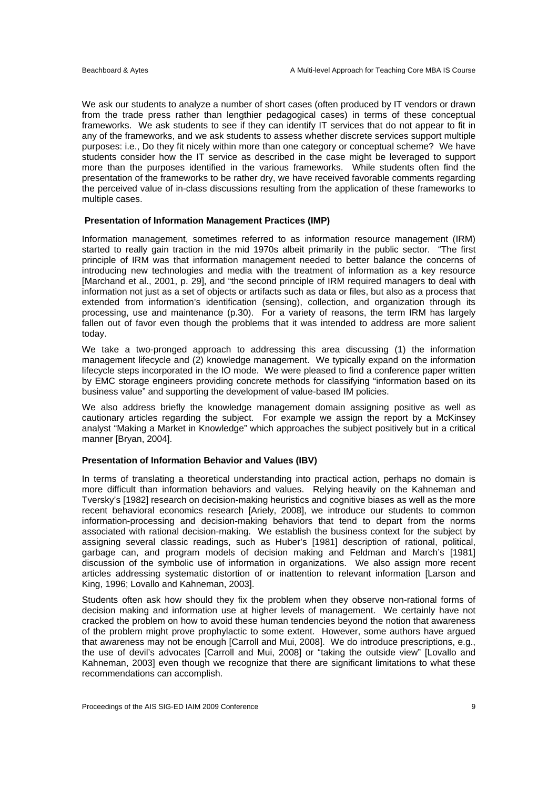We ask our students to analyze a number of short cases (often produced by IT vendors or drawn from the trade press rather than lengthier pedagogical cases) in terms of these conceptual frameworks. We ask students to see if they can identify IT services that do not appear to fit in any of the frameworks, and we ask students to assess whether discrete services support multiple purposes: i.e., Do they fit nicely within more than one category or conceptual scheme? We have students consider how the IT service as described in the case might be leveraged to support more than the purposes identified in the various frameworks. While students often find the presentation of the frameworks to be rather dry, we have received favorable comments regarding the perceived value of in-class discussions resulting from the application of these frameworks to multiple cases.

#### **Presentation of Information Management Practices (IMP)**

Information management, sometimes referred to as information resource management (IRM) started to really gain traction in the mid 1970s albeit primarily in the public sector. "The first principle of IRM was that information management needed to better balance the concerns of introducing new technologies and media with the treatment of information as a key resource [Marchand et al., 2001, p. 29], and "the second principle of IRM required managers to deal with information not just as a set of objects or artifacts such as data or files, but also as a process that extended from information's identification (sensing), collection, and organization through its processing, use and maintenance (p.30). For a variety of reasons, the term IRM has largely fallen out of favor even though the problems that it was intended to address are more salient today.

We take a two-pronged approach to addressing this area discussing (1) the information management lifecycle and (2) knowledge management. We typically expand on the information lifecycle steps incorporated in the IO mode. We were pleased to find a conference paper written by EMC storage engineers providing concrete methods for classifying "information based on its business value" and supporting the development of value-based IM policies.

We also address briefly the knowledge management domain assigning positive as well as cautionary articles regarding the subject. For example we assign the report by a McKinsey analyst "Making a Market in Knowledge" which approaches the subject positively but in a critical manner [Bryan, 2004].

#### **Presentation of Information Behavior and Values (IBV)**

In terms of translating a theoretical understanding into practical action, perhaps no domain is more difficult than information behaviors and values. Relying heavily on the Kahneman and Tversky's [1982] research on decision-making heuristics and cognitive biases as well as the more recent behavioral economics research [Ariely, 2008], we introduce our students to common information-processing and decision-making behaviors that tend to depart from the norms associated with rational decision-making. We establish the business context for the subject by assigning several classic readings, such as Huber's [1981] description of rational, political, garbage can, and program models of decision making and Feldman and March's [1981] discussion of the symbolic use of information in organizations. We also assign more recent articles addressing systematic distortion of or inattention to relevant information [Larson and King, 1996; Lovallo and Kahneman, 2003].

Students often ask how should they fix the problem when they observe non-rational forms of decision making and information use at higher levels of management. We certainly have not cracked the problem on how to avoid these human tendencies beyond the notion that awareness of the problem might prove prophylactic to some extent. However, some authors have argued that awareness may not be enough [Carroll and Mui, 2008]. We do introduce prescriptions, e.g., the use of devil's advocates [Carroll and Mui, 2008] or "taking the outside view" [Lovallo and Kahneman, 2003] even though we recognize that there are significant limitations to what these recommendations can accomplish.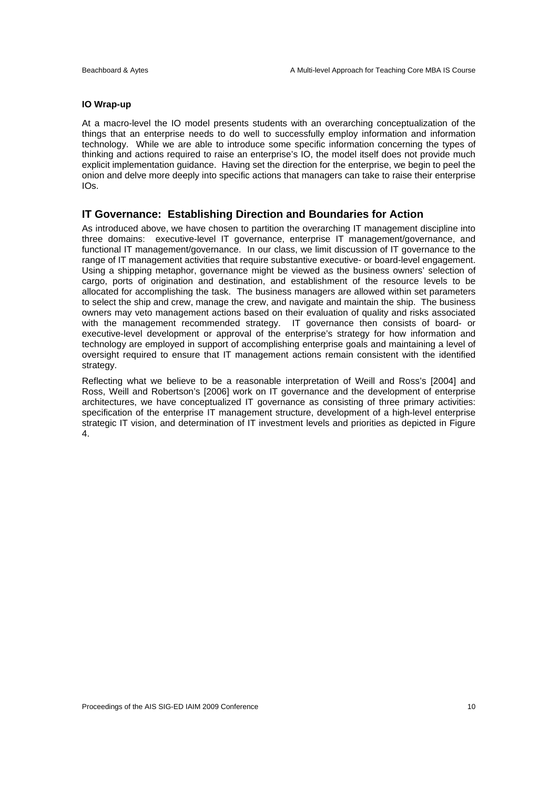#### **IO Wrap-up**

At a macro-level the IO model presents students with an overarching conceptualization of the things that an enterprise needs to do well to successfully employ information and information technology. While we are able to introduce some specific information concerning the types of thinking and actions required to raise an enterprise's IO, the model itself does not provide much explicit implementation guidance. Having set the direction for the enterprise, we begin to peel the onion and delve more deeply into specific actions that managers can take to raise their enterprise IOs.

## **IT Governance: Establishing Direction and Boundaries for Action**

As introduced above, we have chosen to partition the overarching IT management discipline into three domains: executive-level IT governance, enterprise IT management/governance, and functional IT management/governance. In our class, we limit discussion of IT governance to the range of IT management activities that require substantive executive- or board-level engagement. Using a shipping metaphor, governance might be viewed as the business owners' selection of cargo, ports of origination and destination, and establishment of the resource levels to be allocated for accomplishing the task. The business managers are allowed within set parameters to select the ship and crew, manage the crew, and navigate and maintain the ship. The business owners may veto management actions based on their evaluation of quality and risks associated with the management recommended strategy. IT governance then consists of board- or executive-level development or approval of the enterprise's strategy for how information and technology are employed in support of accomplishing enterprise goals and maintaining a level of oversight required to ensure that IT management actions remain consistent with the identified strategy.

Reflecting what we believe to be a reasonable interpretation of Weill and Ross's [2004] and Ross, Weill and Robertson's [2006] work on IT governance and the development of enterprise architectures, we have conceptualized IT governance as consisting of three primary activities: specification of the enterprise IT management structure, development of a high-level enterprise strategic IT vision, and determination of IT investment levels and priorities as depicted in Figure 4.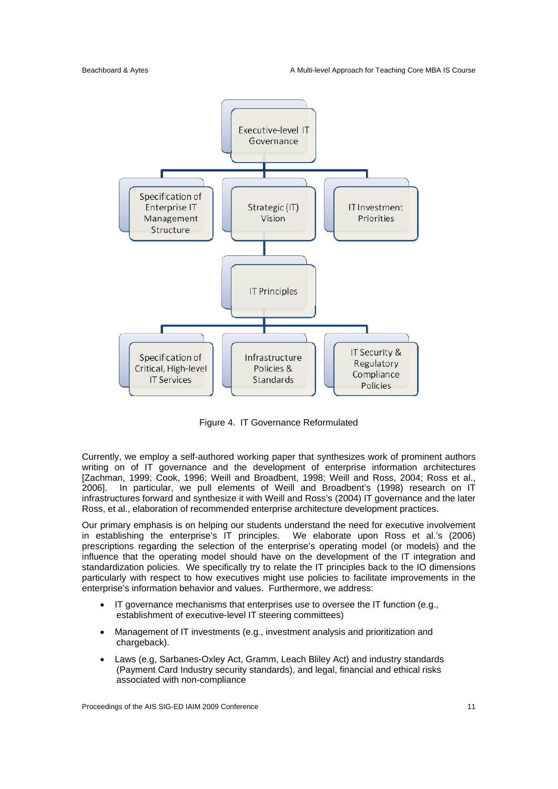

Figure 4. IT Governance Reformulated

Currently, we employ a self-authored working paper that synthesizes work of prominent authors writing on of IT governance and the development of enterprise information architectures [Zachman, 1999; Cook, 1996; Weill and Broadbent, 1998; Weill and Ross, 2004; Ross et al., 2006]. In particular, we pull elements of Weill and Broadbent's (1998) research on IT infrastructures forward and synthesize it with Weill and Ross's (2004) IT governance and the later Ross, et al., elaboration of recommended enterprise architecture development practices.

Our primary emphasis is on helping our students understand the need for executive involvement in establishing the enterprise's IT principles. We elaborate upon Ross et al.'s (2006) prescriptions regarding the selection of the enterprise's operating model (or models) and the influence that the operating model should have on the development of the IT integration and standardization policies. We specifically try to relate the IT principles back to the IO dimensions particularly with respect to how executives might use policies to facilitate improvements in the enterprise's information behavior and values. Furthermore, we address:

- $\bullet$  IT governance mechanisms that enterprises use to oversee the IT function (e.g., establishment of executive-level IT steering committees)
- Management of IT investments (e.g., investment analysis and prioritization and chargeback).
- Laws (e.g, Sarbanes-Oxley Act, Gramm, Leach Bliley Act) and industry standards (Payment Card Industry security standards), and legal, financial and ethical risks associated with non-compliance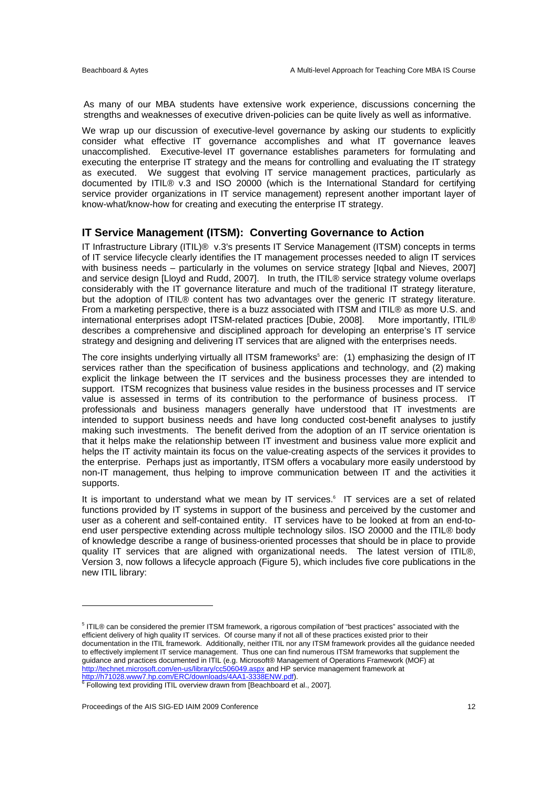As many of our MBA students have extensive work experience, discussions concerning the strengths and weaknesses of executive driven-policies can be quite lively as well as informative.

We wrap up our discussion of executive-level governance by asking our students to explicitly consider what effective IT governance accomplishes and what IT governance leaves unaccomplished. Executive-level IT governance establishes parameters for formulating and executing the enterprise IT strategy and the means for controlling and evaluating the IT strategy as executed. We suggest that evolving IT service management practices, particularly as documented by ITIL® v.3 and ISO 20000 (which is the International Standard for certifying service provider organizations in IT service management) represent another important layer of know-what/know-how for creating and executing the enterprise IT strategy.

## **IT Service Management (ITSM): Converting Governance to Action**

IT Infrastructure Library (ITIL)® v.3's presents IT Service Management (ITSM) concepts in terms of IT service lifecycle clearly identifies the IT management processes needed to align IT services with business needs – particularly in the volumes on service strategy [Iqbal and Nieves, 2007] and service design [Lloyd and Rudd, 2007]. In truth, the ITIL® service strategy volume overlaps considerably with the IT governance literature and much of the traditional IT strategy literature, but the adoption of ITIL® content has two advantages over the generic IT strategy literature. From a marketing perspective, there is a buzz associated with ITSM and ITIL® as more U.S. and international enterprises adopt ITSM-related practices [Dubie, 2008]. More importantly, ITIL® describes a comprehensive and disciplined approach for developing an enterprise's IT service strategy and designing and delivering IT services that are aligned with the enterprises needs.

The core insights underlying virtually all ITSM frameworks<sup>5</sup> are: (1) emphasizing the design of IT services rather than the specification of business applications and technology, and (2) making explicit the linkage between the IT services and the business processes they are intended to support. ITSM recognizes that business value resides in the business processes and IT service value is assessed in terms of its contribution to the performance of business process. IT professionals and business managers generally have understood that IT investments are intended to support business needs and have long conducted cost-benefit analyses to justify making such investments. The benefit derived from the adoption of an IT service orientation is that it helps make the relationship between IT investment and business value more explicit and helps the IT activity maintain its focus on the value-creating aspects of the services it provides to the enterprise. Perhaps just as importantly, ITSM offers a vocabulary more easily understood by non-IT management, thus helping to improve communication between IT and the activities it supports.

It is important to understand what we mean by IT services.<sup>6</sup> IT services are a set of related functions provided by IT systems in support of the business and perceived by the customer and user as a coherent and self-contained entity. IT services have to be looked at from an end-toend user perspective extending across multiple technology silos. ISO 20000 and the ITIL® body of knowledge describe a range of business-oriented processes that should be in place to provide quality IT services that are aligned with organizational needs. The latest version of ITIL®, Version 3, now follows a lifecycle approach (Figure 5), which includes five core publications in the new ITIL library:

 $\overline{a}$ 

<sup>&</sup>lt;sup>5</sup> ITIL® can be considered the premier ITSM framework, a rigorous compilation of "best practices" associated with the efficient delivery of high quality IT services. Of course many if not all of these practices existed prior to their documentation in the ITIL framework. Additionally, neither ITIL nor any ITSM framework provides all the guidance needed to effectively implement IT service management. Thus one can find numerous ITSM frameworks that supplement the guidance and practices documented in ITIL (e.g. Microsoft® Management of Operations Framework (MOF) at http://technet.microsoft.com/en-us/library/cc506049.aspx and HP service management framework at

<sup>&</sup>lt;u>http://h71028.www7.hp.com/ERC/downloads/4AA1-3338ENW.pdf</u>).<br><sup>6</sup> Following text providing ITIL overview drawn from [Beachboard et al., 2007].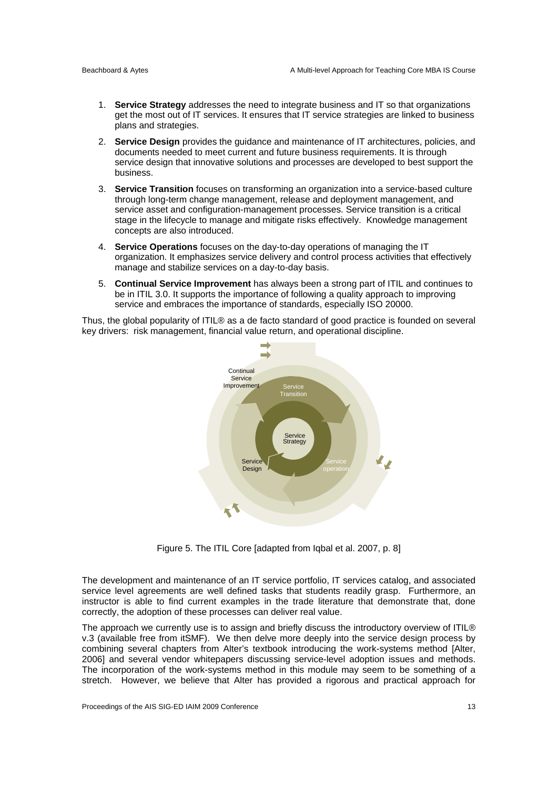- 1. **Service Strategy** addresses the need to integrate business and IT so that organizations get the most out of IT services. It ensures that IT service strategies are linked to business plans and strategies.
- 2. **Service Design** provides the guidance and maintenance of IT architectures, policies, and documents needed to meet current and future business requirements. It is through service design that innovative solutions and processes are developed to best support the business.
- 3. **Service Transition** focuses on transforming an organization into a service-based culture through long-term change management, release and deployment management, and service asset and configuration-management processes. Service transition is a critical stage in the lifecycle to manage and mitigate risks effectively. Knowledge management concepts are also introduced.
- 4. **Service Operations** focuses on the day-to-day operations of managing the IT organization. It emphasizes service delivery and control process activities that effectively manage and stabilize services on a day-to-day basis.
- 5. **Continual Service Improvement** has always been a strong part of ITIL and continues to be in ITIL 3.0. It supports the importance of following a quality approach to improving service and embraces the importance of standards, especially ISO 20000.

Thus, the global popularity of ITIL® as a de facto standard of good practice is founded on several key drivers: risk management, financial value return, and operational discipline.



Figure 5. The ITIL Core [adapted from Iqbal et al. 2007, p. 8]

The development and maintenance of an IT service portfolio, IT services catalog, and associated service level agreements are well defined tasks that students readily grasp. Furthermore, an instructor is able to find current examples in the trade literature that demonstrate that, done correctly, the adoption of these processes can deliver real value.

The approach we currently use is to assign and briefly discuss the introductory overview of ITIL® v.3 (available free from itSMF). We then delve more deeply into the service design process by combining several chapters from Alter's textbook introducing the work-systems method [Alter, 2006] and several vendor whitepapers discussing service-level adoption issues and methods. The incorporation of the work-systems method in this module may seem to be something of a stretch. However, we believe that Alter has provided a rigorous and practical approach for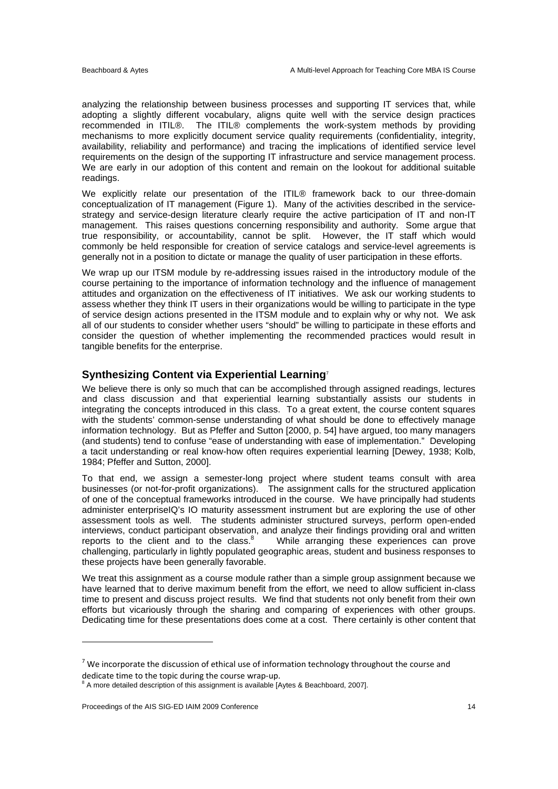analyzing the relationship between business processes and supporting IT services that, while adopting a slightly different vocabulary, aligns quite well with the service design practices recommended in ITIL®. The ITIL® complements the work-system methods by providing mechanisms to more explicitly document service quality requirements (confidentiality, integrity, availability, reliability and performance) and tracing the implications of identified service level requirements on the design of the supporting IT infrastructure and service management process. We are early in our adoption of this content and remain on the lookout for additional suitable readings.

We explicitly relate our presentation of the ITIL<sup>®</sup> framework back to our three-domain conceptualization of IT management (Figure 1). Many of the activities described in the servicestrategy and service-design literature clearly require the active participation of IT and non-IT management. This raises questions concerning responsibility and authority. Some argue that true responsibility, or accountability, cannot be split. However, the IT staff which would commonly be held responsible for creation of service catalogs and service-level agreements is generally not in a position to dictate or manage the quality of user participation in these efforts.

We wrap up our ITSM module by re-addressing issues raised in the introductory module of the course pertaining to the importance of information technology and the influence of management attitudes and organization on the effectiveness of IT initiatives. We ask our working students to assess whether they think IT users in their organizations would be willing to participate in the type of service design actions presented in the ITSM module and to explain why or why not. We ask all of our students to consider whether users "should" be willing to participate in these efforts and consider the question of whether implementing the recommended practices would result in tangible benefits for the enterprise.

## **Synthesizing Content via Experiential Learning**<sup>7</sup>

We believe there is only so much that can be accomplished through assigned readings, lectures and class discussion and that experiential learning substantially assists our students in integrating the concepts introduced in this class. To a great extent, the course content squares with the students' common-sense understanding of what should be done to effectively manage information technology. But as Pfeffer and Sutton [2000, p. 54] have argued, too many managers (and students) tend to confuse "ease of understanding with ease of implementation." Developing a tacit understanding or real know-how often requires experiential learning [Dewey, 1938; Kolb, 1984; Pfeffer and Sutton, 2000].

To that end, we assign a semester-long project where student teams consult with area businesses (or not-for-profit organizations). The assignment calls for the structured application of one of the conceptual frameworks introduced in the course. We have principally had students administer enterpriseIQ's IO maturity assessment instrument but are exploring the use of other assessment tools as well. The students administer structured surveys, perform open-ended interviews, conduct participant observation, and analyze their findings providing oral and written reports to the client and to the class. $8<sup>3</sup>$  While arranging these experiences can prove challenging, particularly in lightly populated geographic areas, student and business responses to these projects have been generally favorable.

We treat this assignment as a course module rather than a simple group assignment because we have learned that to derive maximum benefit from the effort, we need to allow sufficient in-class time to present and discuss project results. We find that students not only benefit from their own efforts but vicariously through the sharing and comparing of experiences with other groups. Dedicating time for these presentations does come at a cost. There certainly is other content that

l

 $7$  We incorporate the discussion of ethical use of information technology throughout the course and dedicate time to the topic during the course wrap-up.

 $8$  A more detailed description of this assignment is available [Aytes & Beachboard, 2007].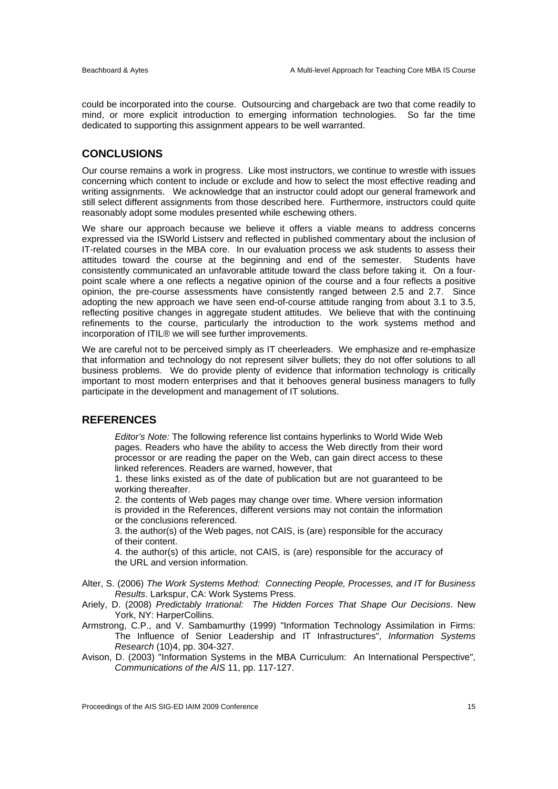could be incorporated into the course. Outsourcing and chargeback are two that come readily to mind, or more explicit introduction to emerging information technologies. So far the time dedicated to supporting this assignment appears to be well warranted.

## **CONCLUSIONS**

Our course remains a work in progress. Like most instructors, we continue to wrestle with issues concerning which content to include or exclude and how to select the most effective reading and writing assignments. We acknowledge that an instructor could adopt our general framework and still select different assignments from those described here. Furthermore, instructors could quite reasonably adopt some modules presented while eschewing others.

We share our approach because we believe it offers a viable means to address concerns expressed via the ISWorld Listserv and reflected in published commentary about the inclusion of IT-related courses in the MBA core. In our evaluation process we ask students to assess their attitudes toward the course at the beginning and end of the semester. Students have consistently communicated an unfavorable attitude toward the class before taking it. On a fourpoint scale where a one reflects a negative opinion of the course and a four reflects a positive opinion, the pre-course assessments have consistently ranged between 2.5 and 2.7. Since adopting the new approach we have seen end-of-course attitude ranging from about 3.1 to 3.5, reflecting positive changes in aggregate student attitudes. We believe that with the continuing refinements to the course, particularly the introduction to the work systems method and incorporation of ITIL® we will see further improvements.

We are careful not to be perceived simply as IT cheerleaders. We emphasize and re-emphasize that information and technology do not represent silver bullets; they do not offer solutions to all business problems. We do provide plenty of evidence that information technology is critically important to most modern enterprises and that it behooves general business managers to fully participate in the development and management of IT solutions.

## **REFERENCES**

*Editor's Note:* The following reference list contains hyperlinks to World Wide Web pages. Readers who have the ability to access the Web directly from their word processor or are reading the paper on the Web, can gain direct access to these linked references. Readers are warned, however, that

1. these links existed as of the date of publication but are not guaranteed to be working thereafter.

2. the contents of Web pages may change over time. Where version information is provided in the References, different versions may not contain the information or the conclusions referenced.

3. the author(s) of the Web pages, not CAIS, is (are) responsible for the accuracy of their content.

4. the author(s) of this article, not CAIS, is (are) responsible for the accuracy of the URL and version information.

- Alter, S. (2006) *The Work Systems Method: Connecting People, Processes, and IT for Business Results*. Larkspur, CA: Work Systems Press.
- Ariely, D. (2008) *Predictably Irrational: The Hidden Forces That Shape Our Decisions*. New York, NY: HarperCollins.
- Armstrong, C.P., and V. Sambamurthy (1999) "Information Technology Assimilation in Firms: The Influence of Senior Leadership and IT Infrastructures", *Information Systems Research* (10)4, pp. 304-327.
- Avison, D. (2003) "Information Systems in the MBA Curriculum: An International Perspective", *Communications of the AIS* 11, pp. 117-127.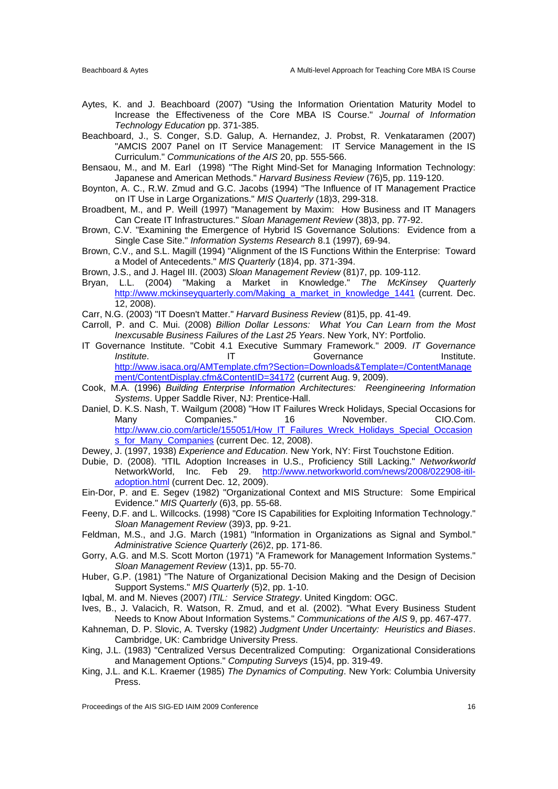- Aytes, K. and J. Beachboard (2007) "Using the Information Orientation Maturity Model to Increase the Effectiveness of the Core MBA IS Course." *Journal of Information Technology Education* pp. 371-385.
- Beachboard, J., S. Conger, S.D. Galup, A. Hernandez, J. Probst, R. Venkataramen (2007) "AMCIS 2007 Panel on IT Service Management: IT Service Management in the IS Curriculum." *Communications of the AIS* 20, pp. 555-566.
- Bensaou, M., and M. Earl (1998) "The Right Mind-Set for Managing Information Technology: Japanese and American Methods." *Harvard Business Review* (76)5, pp. 119-120.
- Boynton, A. C., R.W. Zmud and G.C. Jacobs (1994) "The Influence of IT Management Practice on IT Use in Large Organizations." *MIS Quarterly* (18)3, 299-318.
- Broadbent, M., and P. Weill (1997) "Management by Maxim: How Business and IT Managers Can Create IT Infrastructures." *Sloan Management Review* (38)3, pp. 77-92.
- Brown, C.V. "Examining the Emergence of Hybrid IS Governance Solutions: Evidence from a Single Case Site." *Information Systems Research* 8.1 (1997), 69-94.
- Brown, C.V., and S.L. Magill (1994) "Alignment of the IS Functions Within the Enterprise: Toward a Model of Antecedents." *MIS Quarterly* (18)4, pp. 371-394.
- Brown, J.S., and J. Hagel III. (2003) *Sloan Management Review* (81)7, pp. 109-112.
- Bryan, L.L. (2004) "Making a Market in Knowledge." *The McKinsey Quarterly* http://www.mckinseyquarterly.com/Making\_a\_market\_in\_knowledge\_1441 (current. Dec. 12, 2008).
- Carr, N.G. (2003) "IT Doesn't Matter." *Harvard Business Review* (81)5, pp. 41-49.
- Carroll, P. and C. Mui. (2008) *Billion Dollar Lessons: What You Can Learn from the Most Inexcusable Business Failures of the Last 25 Years*. New York, NY: Portfolio.
- IT Governance Institute. "Cobit 4.1 Executive Summary Framework." 2009. *IT Governance*  **Institute.** IT Governance Institute. http://www.isaca.org/AMTemplate.cfm?Section=Downloads&Template=/ContentManage ment/ContentDisplay.cfm&ContentID=34172 (current Aug. 9, 2009).
- Cook, M.A. (1996) *Building Enterprise Information Architectures: Reengineering Information Systems*. Upper Saddle River, NJ: Prentice-Hall.
- Daniel, D. K.S. Nash, T. Wailgum (2008) "How IT Failures Wreck Holidays, Special Occasions for Many Companies." 16 November. CIO.Com. http://www.cio.com/article/155051/How\_IT\_Failures\_Wreck\_Holidays\_Special\_Occasion s\_for\_Many\_Companies (current Dec. 12, 2008).
- Dewey, J. (1997, 1938) *Experience and Education*. New York, NY: First Touchstone Edition.
- Dubie, D. (2008). "ITIL Adoption Increases in U.S., Proficiency Still Lacking." *Networkworld* NetworkWorld, Inc. Feb 29. http://www.networkworld.com/news/2008/022908-itiladoption.html (current Dec. 12, 2009).
- Ein-Dor, P. and E. Segev (1982) "Organizational Context and MIS Structure: Some Empirical Evidence." *MIS Quarterly* (6)3, pp. 55-68.
- Feeny, D.F. and L. Willcocks. (1998) "Core IS Capabilities for Exploiting Information Technology." *Sloan Management Review* (39)3, pp. 9-21.
- Feldman, M.S., and J.G. March (1981) "Information in Organizations as Signal and Symbol." *Administrative Science Quarterly* (26)2, pp. 171-86.
- Gorry, A.G. and M.S. Scott Morton (1971) "A Framework for Management Information Systems." *Sloan Management Review* (13)1, pp. 55-70.
- Huber, G.P. (1981) "The Nature of Organizational Decision Making and the Design of Decision Support Systems." *MIS Quarterly* (5)2, pp. 1-10.
- Iqbal, M. and M. Nieves (2007) *ITIL: Service Strategy*. United Kingdom: OGC.
- Ives, B., J. Valacich, R. Watson, R. Zmud, and et al. (2002). "What Every Business Student Needs to Know About Information Systems." *Communications of the AIS* 9, pp. 467-477.
- Kahneman, D. P. Slovic, A. Tversky (1982) *Judgment Under Uncertainty: Heuristics and Biases*. Cambridge, UK: Cambridge University Press.
- King, J.L. (1983) "Centralized Versus Decentralized Computing: Organizational Considerations and Management Options." *Computing Surveys* (15)4, pp. 319-49.
- King, J.L. and K.L. Kraemer (1985) *The Dynamics of Computing*. New York: Columbia University Press.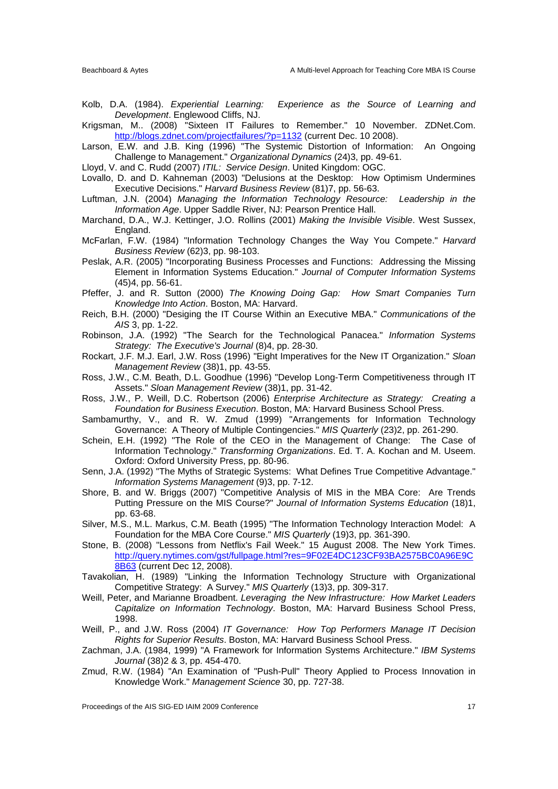- Kolb, D.A. (1984). *Experiential Learning: Experience as the Source of Learning and Development*. Englewood Cliffs, NJ.
- Krigsman, M.. (2008) "Sixteen IT Failures to Remember." 10 November. ZDNet.Com. http://blogs.zdnet.com/projectfailures/?p=1132 (current Dec. 10 2008).
- Larson, E.W. and J.B. King (1996) "The Systemic Distortion of Information: An Ongoing Challenge to Management." *Organizational Dynamics* (24)3, pp. 49-61.
- Lloyd, V. and C. Rudd (2007) *ITIL: Service Design*. United Kingdom: OGC.
- Lovallo, D. and D. Kahneman (2003) "Delusions at the Desktop: How Optimism Undermines Executive Decisions." *Harvard Business Review* (81)7, pp. 56-63.
- Luftman, J.N. (2004) *Managing the Information Technology Resource: Leadership in the Information Age*. Upper Saddle River, NJ: Pearson Prentice Hall.
- Marchand, D.A., W.J. Kettinger, J.O. Rollins (2001) *Making the Invisible Visible*. West Sussex, England.
- McFarlan, F.W. (1984) "Information Technology Changes the Way You Compete." *Harvard Business Review* (62)3, pp. 98-103.
- Peslak, A.R. (2005) "Incorporating Business Processes and Functions: Addressing the Missing Element in Information Systems Education." *Journal of Computer Information Systems* (45)4, pp. 56-61.
- Pfeffer, J. and R. Sutton (2000) *The Knowing Doing Gap: How Smart Companies Turn Knowledge Into Action*. Boston, MA: Harvard.
- Reich, B.H. (2000) "Desiging the IT Course Within an Executive MBA." *Communications of the AIS* 3, pp. 1-22.
- Robinson, J.A. (1992) "The Search for the Technological Panacea." *Information Systems Strategy: The Executive's Journal* (8)4, pp. 28-30.
- Rockart, J.F. M.J. Earl, J.W. Ross (1996) "Eight Imperatives for the New IT Organization." *Sloan Management Review* (38)1, pp. 43-55.
- Ross, J.W., C.M. Beath, D.L. Goodhue (1996) "Develop Long-Term Competitiveness through IT Assets." *Sloan Management Review* (38)1, pp. 31-42.
- Ross, J.W., P. Weill, D.C. Robertson (2006) *Enterprise Architecture as Strategy: Creating a Foundation for Business Execution*. Boston, MA: Harvard Business School Press.
- Sambamurthy, V., and R. W. Zmud (1999) "Arrangements for Information Technology Governance: A Theory of Multiple Contingencies." *MIS Quarterly* (23)2, pp. 261-290.
- Schein, E.H. (1992) "The Role of the CEO in the Management of Change: The Case of Information Technology." *Transforming Organizations*. Ed. T. A. Kochan and M. Useem. Oxford: Oxford University Press, pp. 80-96.
- Senn, J.A. (1992) "The Myths of Strategic Systems: What Defines True Competitive Advantage." *Information Systems Management* (9)3, pp. 7-12.
- Shore, B. and W. Briggs (2007) "Competitive Analysis of MIS in the MBA Core: Are Trends Putting Pressure on the MIS Course?" *Journal of Information Systems Education* (18)1, pp. 63-68.
- Silver, M.S., M.L. Markus, C.M. Beath (1995) "The Information Technology Interaction Model: A Foundation for the MBA Core Course." *MIS Quarterly* (19)3, pp. 361-390.
- Stone, B. (2008) "Lessons from Netflix's Fail Week." 15 August 2008. The New York Times. http://query.nytimes.com/gst/fullpage.html?res=9F02E4DC123CF93BA2575BC0A96E9C 8B63 (current Dec 12, 2008).
- Tavakolian, H. (1989) "Linking the Information Technology Structure with Organizational Competitive Strategy: A Survey." *MIS Quarterly* (13)3, pp. 309-317.
- Weill, Peter, and Marianne Broadbent. *Leveraging the New Infrastructure: How Market Leaders Capitalize on Information Technology*. Boston, MA: Harvard Business School Press, 1998.
- Weill, P., and J.W. Ross (2004) *IT Governance: How Top Performers Manage IT Decision Rights for Superior Results*. Boston, MA: Harvard Business School Press.
- Zachman, J.A. (1984, 1999) "A Framework for Information Systems Architecture." *IBM Systems Journal* (38)2 & 3, pp. 454-470.
- Zmud, R.W. (1984) "An Examination of "Push-Pull" Theory Applied to Process Innovation in Knowledge Work." *Management Science* 30, pp. 727-38.

Proceedings of the AIS SIG-ED IAIM 2009 Conference 17 17